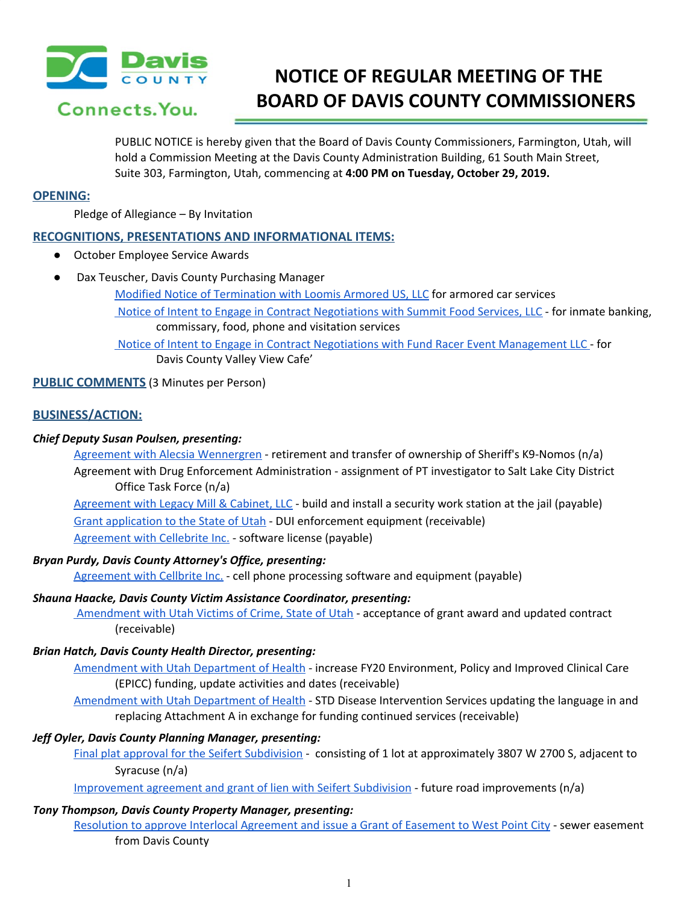

Connects, You.

# **NOTICE OF REGULAR MEETING OF THE BOARD OF DAVIS COUNTY COMMISSIONERS**

PUBLIC NOTICE is hereby given that the Board of Davis County Commissioners, Farmington, Utah, will hold a Commission Meeting at the Davis County Administration Building, 61 South Main Street, Suite 303, Farmington, Utah, commencing at **4:00 PM on Tuesday, October 29, 2019.**

## **OPENING:**

Pledge of Allegiance – By Invitation

# **RECOGNITIONS, PRESENTATIONS AND INFORMATIONAL ITEMS:**

- October Employee Service Awards
- Dax Teuscher, Davis County Purchasing Manager
	- Modified Notice of [Termination](https://drive.google.com/a/co.davis.ut.us/file/d/1E_s6OxbDbV_i3kfg_qEbHGHGQJjvTeC6/view?usp=drivesdk) with Loomis Armored US, LLC for armored car services
	- Notice of Intent to Engage in Contract [Negotiations](https://drive.google.com/a/co.davis.ut.us/file/d/1zN0SO-lMIddYZooO7FIMqRCDW6EJ4DgS/view?usp=drivesdk) with Summit Food Services, LLC for inmate banking, commissary, food, phone and visitation services

Notice of Intent to Engage in Contract Negotiations with Fund Racer Event [Management](https://drive.google.com/a/co.davis.ut.us/file/d/1GtJ5V-yflOQplxKgSVVtLec60y7posga/view?usp=drivesdk) LLC - for Davis County Valley View Cafe'

# **PUBLIC COMMENTS** (3 Minutes per Person)

# **BUSINESS/ACTION:**

# *Chief Deputy Susan Poulsen, presenting:*

Agreement with Alecsia [Wennergren](https://drive.google.com/a/co.davis.ut.us/file/d/1S_LlHA7X-BlynIa_qLarbLplmZUsxcY3/view?usp=drivesdk) - retirement and transfer of ownership of Sheriff's K9-Nomos (n/a) Agreement with Drug Enforcement [Administration](https://drive.google.com/a/co.davis.ut.us/file/d/1qO6vn-VnzowwvLmhs_DuziWhSNiuEh4P/view?usp=drivesdk) - assignment of PT investigator to Salt Lake City District Office Task Force (n/a)

[Agreement](https://drive.google.com/a/co.davis.ut.us/file/d/1eu9GKojttvUGdG85gY05-fbZ4DkvmoVO/view?usp=drivesdk) with Legacy Mill & Cabinet, LLC - build and install a security work station at the jail (payable) Grant [application](https://drive.google.com/a/co.davis.ut.us/file/d/1zqQwLBg8-EkNyO0Qa6YUM-D8E9gJ-z0B/view?usp=drivesdk) to the State of Utah - DUI enforcement equipment (receivable) [Agreement](https://drive.google.com/a/co.davis.ut.us/file/d/1b7FCdkKifhsU0auo3Q_MqAW_3cYx1FQ5/view?usp=drivesdk) with Cellebrite Inc. - software license (payable)

## *Bryan Purdy, Davis County Attorney's Office, presenting:*

[Agreement](https://drive.google.com/a/co.davis.ut.us/file/d/1C-56DXXfl0U2GYMGFm8eni6lh6S2suXt/view?usp=drivesdk) with Cellbrite Inc. - cell phone processing software and equipment (payable)

## *Shauna Haacke, Davis County Victim Assistance Coordinator, presenting:*

[Amendment](https://drive.google.com/a/co.davis.ut.us/file/d/1Jqh874dYzMIpUjlzm04Amwb83VxyVbW8/view?usp=drivesdk) with Utah Victims of Crime, State of Utah - acceptance of grant award and updated contract (receivable)

## *Brian Hatch, Davis County Health Director, presenting:*

[Amendment](https://drive.google.com/a/co.davis.ut.us/file/d/16rJrfstgGNuKJyDViVMQTXYx5NjeQB2A/view?usp=drivesdk) with Utah Department of Health - increase FY20 Environment, Policy and Improved Clinical Care (EPICC) funding, update activities and dates (receivable)

[Amendment](https://drive.google.com/a/co.davis.ut.us/file/d/1H8igU9l0ogMYYg3VwnBFH5drv8hTt4bt/view?usp=drivesdk) with Utah Department of Health - STD Disease Intervention Services updating the language in and replacing Attachment A in exchange for funding continued services (receivable)

## *Jeff Oyler, Davis County Planning Manager, presenting:*

Final plat approval for the Seifert [Subdivision](https://drive.google.com/a/co.davis.ut.us/file/d/1RG89NjBzqiykZ1cG48ARB9JbsVDgkaEi/view?usp=drivesdk) - consisting of 1 lot at approximately 3807 W 2700 S, adjacent to Syracuse (n/a)

[Improvement](https://drive.google.com/a/co.davis.ut.us/file/d/1q9n1VN7LZ7osvtRp3qFzd8dyiHq9V5jh/view?usp=drivesdk) agreement and grant of lien with Seifert Subdivision - future road improvements (n/a)

#### *Tony Thompson, Davis County Property Manager, presenting:*

Resolution to approve Interlocal [Agreement](https://drive.google.com/a/co.davis.ut.us/file/d/1IpwbaBZ7FkXN5AHgNfibNXi-jFFpudzs/view?usp=drivesdk) and issue a Grant of Easement to West Point City - sewer easement from Davis County